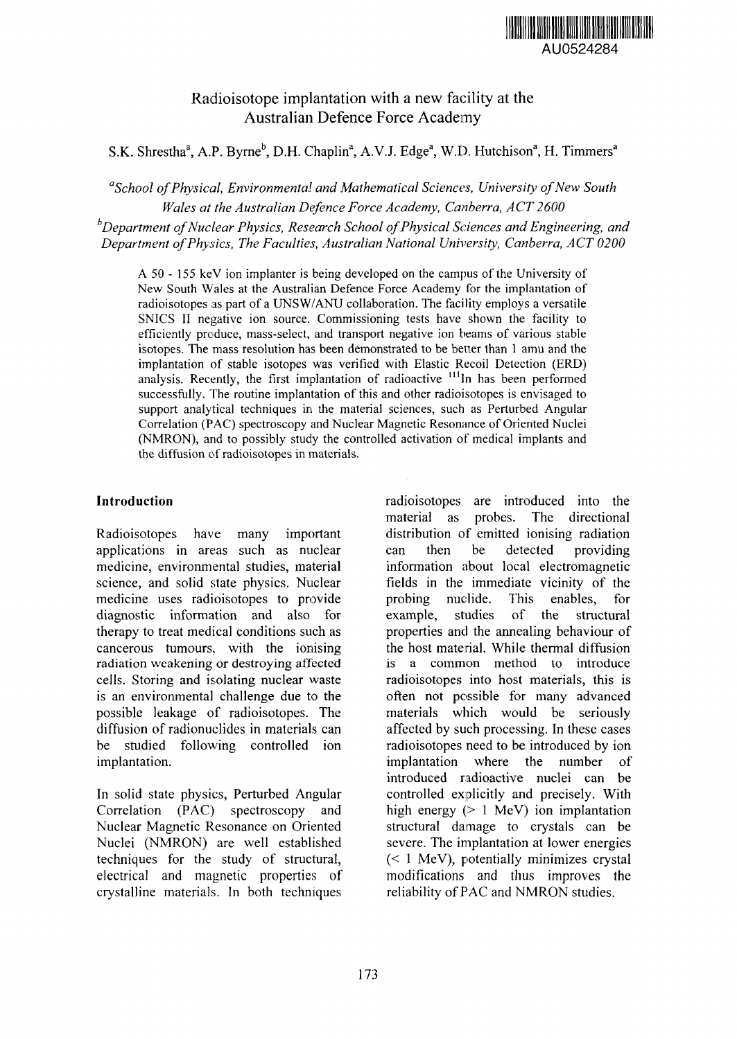

# Radioisotope implantation with a new facility at the Australian Defence Force Academy

S.K. Shrestha<sup>a</sup>, A.P. Byrne<sup>b</sup>, D.H. Chaplin<sup>a</sup>, A.V.J. Edge<sup>a</sup>, W.D. Hutchison<sup>a</sup>, H. Timmers<sup>a</sup>

*"School of Physical, Environmental and Mathematical Sciences, University of New South Wales at the Australian Defence Force Academy, Canberra, ACT2600*

*b Department of Nuclear Physics, Research School of Physical Sciences and Engineering, and Department of Physics, The Faculties, Australian National University, Canberra, ACT 0200*

A 50 - 155 keV ion implanter is being developed on the campus of the University of New South Wales at the Australian Defence Force Academy for the implantation of radioisotopes as part of a UNSW/ANU collaboration. The facility employs a versatile SNICS II negative ion source. Commissioning tests have shown the facility to efficiently produce, mass-select, and transport negative ion beams of various stable isotopes. The mass resolution has been demonstrated to be better than 1 amu and the implantation of stable isotopes was verified with Elastic Recoil Detection (ERD) analysis. Recently, the first implantation of radioactive  $\frac{111}{10}$  has been performed successfully. The routine implantation of this and other radioisotopes is envisaged to support analytical techniques in the material sciences, such as Perturbed Angular Correlation (PAC) spectroscopy and Nuclear Magnetic Resonance of Oriented Nuclei (NMRON), and to possibly study the controlled activation of medical implants and the diffusion of radioisotopes in materials.

# **Introduction**

Radioisotopes have many important applications in areas such as nuclear medicine, environmental studies, material science, and solid state physics. Nuclear medicine uses radioisotopes to provide diagnostic information and also for therapy to treat medical conditions such as cancerous tumours, with the ionising radiation weakening or destroying affected cells. Storing and isolating nuclear waste is an environmental challenge due to the possible leakage of radioisotopes. The diffusion of radionuclides in materials can be studied following controlled ion implantation.

In solid state physics, Perturbed Angular Correlation (PAC) spectroscopy and Nuclear Magnetic Resonance on Oriented Nuclei (NMRON) are well established techniques for the study of structural, electrical and magnetic properties of crystalline materials. In both techniques radioisotopes are introduced into the material as probes. The directional distribution of emitted ionising radiation can then be detected providing information about local electromagnetic fields in the immediate vicinity of the probing nuclide. This enables, for example, studies of the structural properties and the annealing behaviour of the host material. While thermal diffusion is a common method to introduce radioisotopes into host materials, this is often not possible for many advanced materials which would be seriously affected by such processing. In these cases radioisotopes need to be introduced by ion implantation where the number of introduced radioactive nuclei can be controlled explicitly and precisely. With high energy (> 1 MeV) ion implantation structural damage to crystals can be severe. The implantation at lower energies (< 1 MeV), potentially minimizes crystal modifications and thus improves the reliability of PAC and NMRON studies.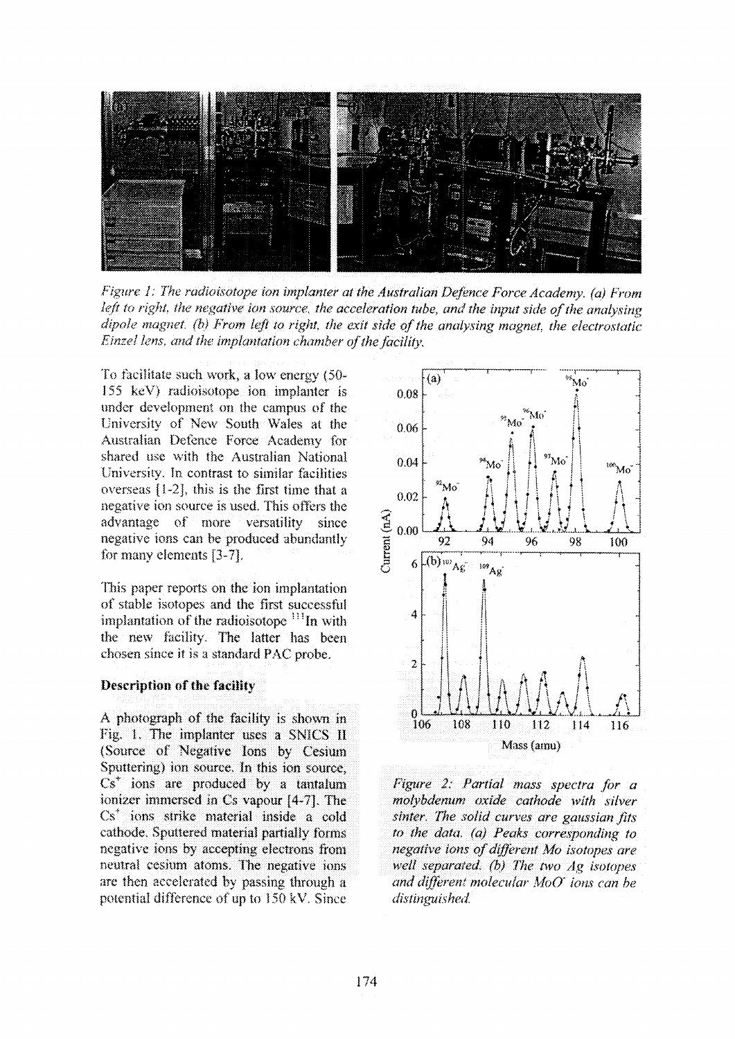

Figure 1: The radioisotope ion implanter at the Australian Defence Force Academy. (a) From left to right, the negative ion source, the acceleration tube, and the input side of the analysing dipole magnet. (b) From left to right, the exit side of the analysing magnet, the electrostatic Einzel lens, and the implantation chamber of the facility.

To facilitate such work, a low energy (50-155 keV) radioisotope ion implanter is under development on the campus of the University of New South Wales at the Australian Defence Force Academy for shared use with the Australian National University. In contrast to similar facilities overseas [1-2], this is the first time that a negative ion source is used. This offers the advantage of more versatility since negative ions can be produced abundantly for many elements [3-7].

This paper reports on the ion implantation of stable isotopes and the first successful implantation of the radioisotope <sup>111</sup>In with the new facility. The latter has been chosen since it is a standard PAC probe.

#### Description of the facility

A photograph of the facility is shown in Fig. 1. The implanter uses a SNICS II (Source of Negative Ions by Cesium Sputtering) ion source. In this ion source,  $Cs<sup>+</sup>$  ions are produced by a tantafum ionizer immersed in Cs vapour [4-7]. The Cs<sup>+</sup> ions strike material inside a cold cathode. Sputtered material partially forms negative ions by accepting electrons from neutral cesium atoms. The negative ions are then accelerated by passing through a potential difference of up to 150 kV. Since



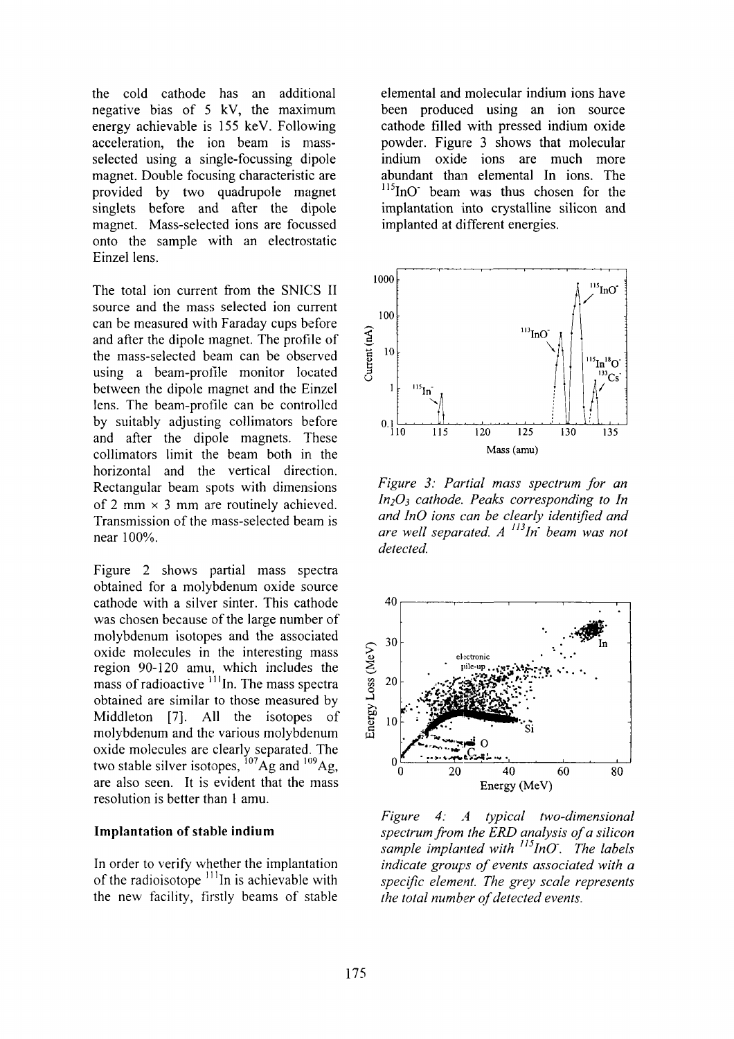the cold cathode has an additional negative bias of 5 kV, the maximum energy achievable is 155 keV. Following acceleration, the ion beam is massselected using a single-focussing dipole magnet. Double focusing characteristic are provided by two quadrupole magnet singlets before and after the dipole magnet. Mass-selected ions are focussed onto the sample with an electrostatic Einzel lens.

The total ion current from the SNICS II source and the mass selected ion current can be measured with Faraday cups before and after the dipole magnet. The profile of the mass-selected beam can be observed using a beam-profile monitor located between the dipole magnet and the Einzel lens. The beam-profile can be controlled by suitably adjusting collimators before and after the dipole magnets. These collimators limit the beam both in the horizontal and the vertical direction. Rectangular beam spots with dimensions of 2 mm  $\times$  3 mm are routinely achieved. Transmission of the mass-selected beam is near 100%.

Figure 2 shows partial mass spectra obtained for a molybdenum oxide source cathode with a silver sinter. This cathode was chosen because of the large number of molybdenum isotopes and the associated oxide molecules in the interesting mass region 90-120 amu, which includes the mass of radioactive  $\frac{1}{11}$ In. The mass spectra obtained are similar to those measured by Middleton [7]. All the isotopes of molybdenum and the various molybdenum oxide molecules are clearly separated. The two stable silver isotopes,  $^{107}$ Ag and  $^{109}$ Ag are also seen. It is evident that the mass resolution is better than 1 amu.

### **Implantation of stable indium**

In order to verify whether the implantation of the radioisotope  $111$ In is achievable with the new facility, firstly beams of stable

elemental and molecular indium ions have been produced using an ion source cathode filled with pressed indium oxide powder. Figure 3 shows that molecular indium oxide ions are much more abundant than elemental In ions. The <sup>115</sup>InO" beam was thus chosen for the implantation into crystalline silicon and implanted at different energies.



*Figure 3: Partial mass spectrum for an injOi cathode. Peaks corresponding to In and inO ions can be clearly identified and are well separated. A <sup>113</sup>In beam was not detected.*



*Figure 4: A typical two-dimensional spectrum from the ERD analysis of a silicon sample implanted with InO'. The labels indicate groups of events associated with a specific element. The grey scale represents the total number of detected events.*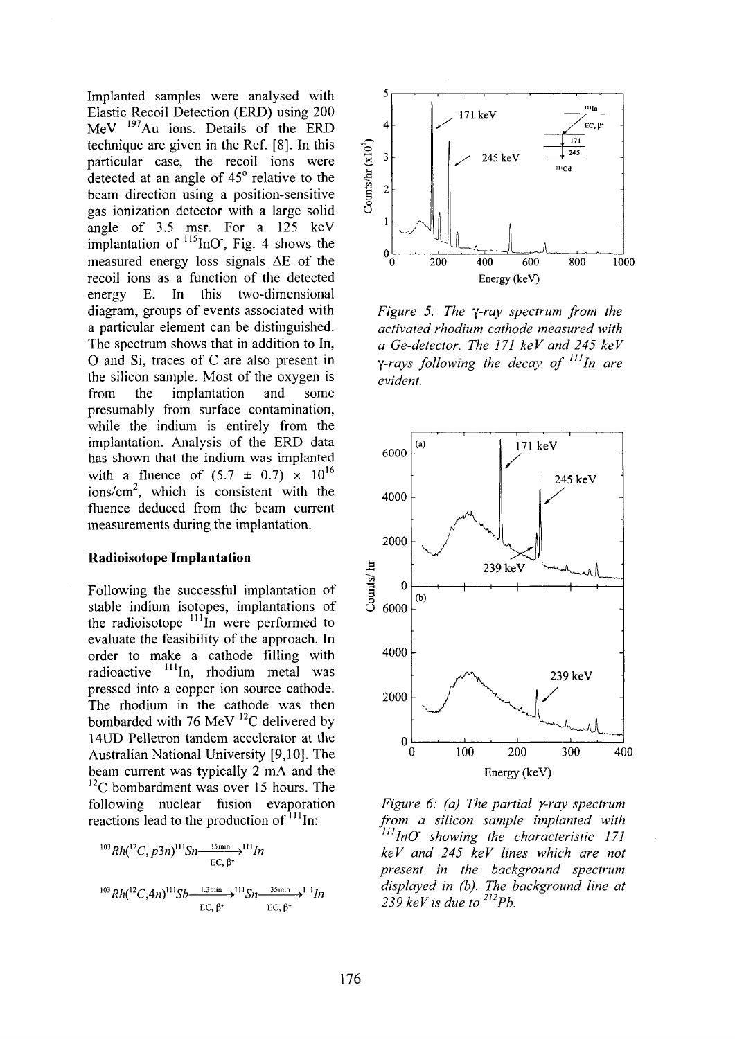Implanted samples were analysed with Elastic Recoil Detection (ERD) using 200 MeV <sup>197</sup>Au ions. Details of the ERD technique are given in the Ref. [8]. In this particular case, the recoil ions were detected at an angle of 45° relative to the beam direction using a position-sensitive gas ionization detector with a large solid angle of 3.5 msr. For a 125 keV implantation of  $\frac{115}{10}$  T<sub>ig</sub>. 4 shows the measured energy loss signals  $\Delta E$  of the recoil ions as a function of the detected energy E. In this two-dimensional diagram, groups of events associated with a particular element can be distinguished. The spectrum shows that in addition to In, O and Si, traces of C are also present in the silicon sample. Most of the oxygen is from the implantation and some presumably from surface contamination, while the indium is entirely from the implantation. Analysis of the ERD data has shown that the indium was implanted with a fluence of  $(5.7 \pm 0.7) \times 10^{16}$  $ions/cm<sup>2</sup>$ , which is consistent with the fluence deduced from the beam current measurements during the implantation.

#### **Radioisotope Implantation**

Following the successful implantation of stable indium isotopes, implantations of the radioisotope <sup>111</sup>In were performed to evaluate the feasibility of the approach. In order to make a cathode filling with radioactive <sup>111</sup>In, rhodium metal was pressed into a copper ion source cathode. The rhodium in the cathode was then bombarded with 76 MeV  $^{12}$ C delivered by 14UD Pelletron tandem accelerator at the Australian National University [9,10]. The beam current was typically 2 mA and the  ${}^{12}$ C bombardment was over 15 hours. The following nuclear fusion evaporation reactions lead to the production of  $\frac{111}{1}$ In:

$$
^{103}Rh(^{12}C, p3n)^{111}Sn \xrightarrow{35\text{min}} 1^{111}In
$$
  

$$
^{103}Rh(^{12}C, 4n)^{111}Sb \xrightarrow{1.3\text{min}} 1^{111}Sn \xrightarrow{35\text{min}} 1^{11}In
$$
  
EC,  $\beta^{+}$  EC,  $\beta^{+}$ 



*Figure 5: The y-ray spectrum from the activated rhodium cathode measured with a Ge-detector. The 171 keV and 245 keV y-rays following the decay of In are evident.*



*Figure 6: (a) The partial y-ray spectrum from a silicon sample implanted with <sup>111</sup> InO' showing the characteristic 171 keV and 245 keV lines which are not present in the background spectrum displayed in (b). The background line at 239keVisdueto<sup>212</sup>Pb.*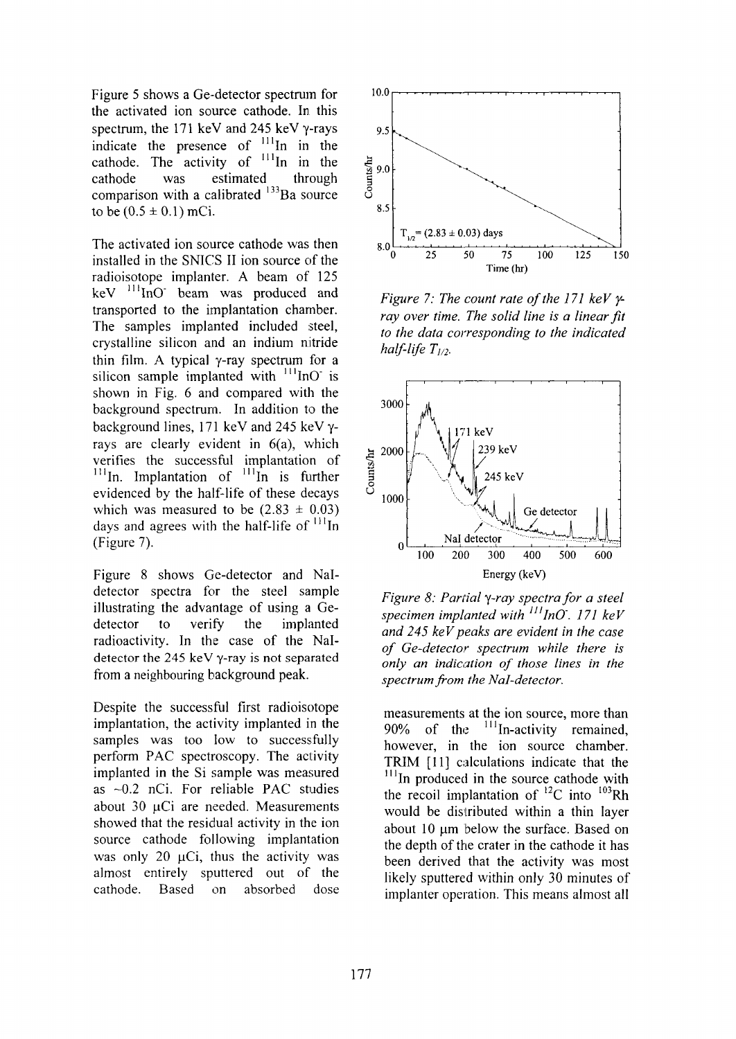Figure 5 shows a Ge-detector spectrum for the activated ion source cathode. In this spectrum, the 171 keV and 245 keV y-rays indicate the presence of cathode. The activity of cathode was estimated comparison with a calibrated <sup>133</sup>Ba source to be  $(0.5 \pm 0.1)$  mCi. in in In in the In in the through

The activated ion source cathode was then installed in the SNICS II ion source of the radioisotope implanter. A beam of 125  $keV$ <sup> $111$ </sup>InO' beam was produced and transported to the implantation chamber. The samples implanted included steel, crystalline silicon and an indium nitride thin film. A typical  $\gamma$ -ray spectrum for a silicon sample implanted with  $\frac{111}{100}$  is shown in Fig. 6 and compared with the background spectrum. In addition to the background lines, 171 keV and 245 keV yrays are clearly evident in 6(a), which verifies the successful implantation of  $^{111}$ In. Implantation of  $^{111}$ In is further evidenced by the half-life of these decays which was measured to be  $(2.83 \pm 0.03)$ days and agrees with the half-life of  $<sup>111</sup>$ In</sup> (Figure 7).

Figure 8 shows Ge-detector and Naldetector spectra for the steel sample illustrating the advantage of using a Gedetector to verify the implanted radioactivity. In the case of the Naldetector the 245 keV y-ray is not separated from a neighbouring background peak.

Despite the successful first radioisotope implantation, the activity implanted in the samples was too low to successfully perform PAC spectroscopy. The activity implanted in the Si sample was measured as -0.2 nCi. For reliable PAC studies about  $30 \text{ } \mu\text{Ci}$  are needed. Measurements showed that the residual activity in the ion source cathode following implantation was only 20  $\mu$ Ci, thus the activity was almost entirely sputtered out of the cathode. Based on absorbed dose



*Figure 7: The count rate of the 171 keV yray over time. The solid line is a linear fit to the data corresponding to the indicated half-life T<sub>1/2</sub>*.



*Figure 8: Partial y-ray spectra for a steel specimen implanted with '"lnO~. 171 keV and 245 keV peaks are evident in the case of Ge-detector spectrum while there is only an indication of those lines in the spectrum from the Nal-detector.*

measurements at the ion source, more than  $90\%$  of the  $<sup>111</sup>$ In-activity remained,</sup> however, in the ion source chamber. TRIM [11] calculations indicate that the  $111$ In produced in the source cathode with the recoil implantation of  $^{12}$ C into  $^{103}$ Rh would be distributed within a thin layer about 10 um below the surface. Based on the depth of the crater in the cathode it has been derived that the activity was most likely sputtered within only 30 minutes of implanter operation. This means almost all